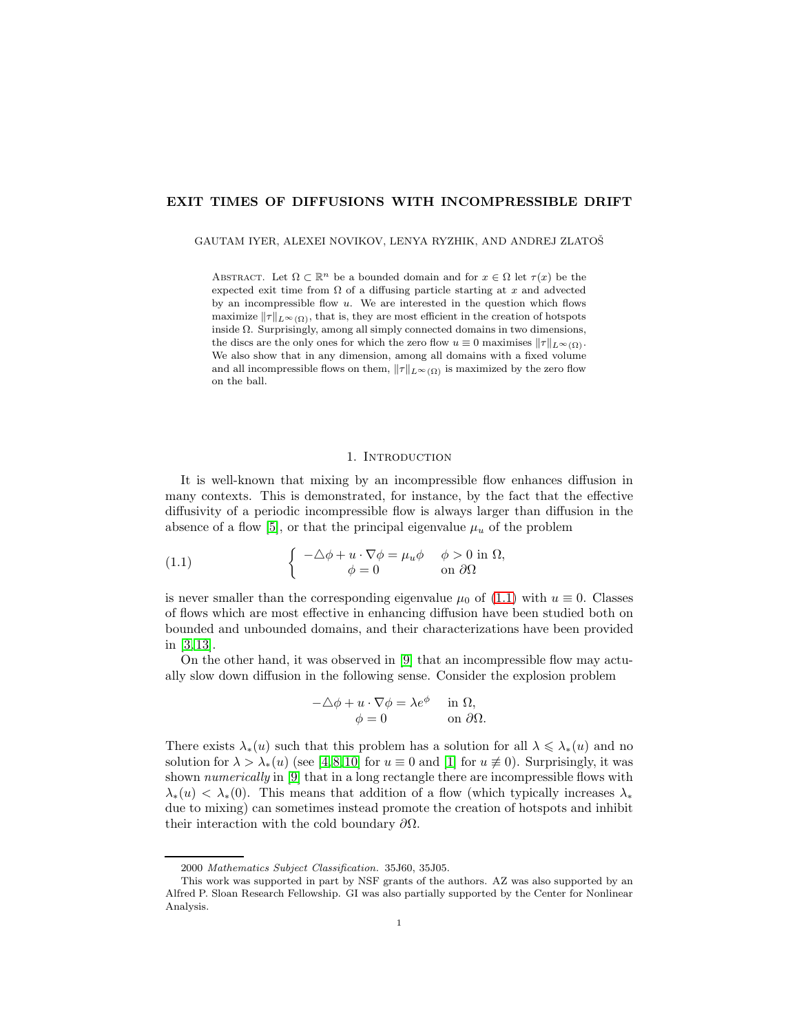# EXIT TIMES OF DIFFUSIONS WITH INCOMPRESSIBLE DRIFT

### GAUTAM IYER, ALEXEI NOVIKOV, LENYA RYZHIK, AND ANDREJ ZLATOŠ

ABSTRACT. Let  $\Omega \subset \mathbb{R}^n$  be a bounded domain and for  $x \in \Omega$  let  $\tau(x)$  be the expected exit time from  $\Omega$  of a diffusing particle starting at x and advected by an incompressible flow  $u$ . We are interested in the question which flows maximize  $||\tau||_{L^{\infty}(\Omega)}$ , that is, they are most efficient in the creation of hotspots inside  $\Omega$ . Surprisingly, among all simply connected domains in two dimensions, the discs are the only ones for which the zero flow  $u \equiv 0$  maximises  $||\tau||_{L^{\infty}(\Omega)}$ . We also show that in any dimension, among all domains with a fixed volume and all incompressible flows on them,  $||\tau||_{L^{\infty}(\Omega)}$  is maximized by the zero flow on the ball.

## <span id="page-0-0"></span>1. INTRODUCTION

It is well-known that mixing by an incompressible flow enhances diffusion in many contexts. This is demonstrated, for instance, by the fact that the effective diffusivity of a periodic incompressible flow is always larger than diffusion in the absence of a flow [\[5\]](#page-14-0), or that the principal eigenvalue  $\mu_u$  of the problem

(1.1) 
$$
\begin{cases}\n-\Delta \phi + u \cdot \nabla \phi = \mu_u \phi & \phi > 0 \text{ in } \Omega, \\
\phi = 0 & \text{ on } \partial \Omega\n\end{cases}
$$

is never smaller than the corresponding eigenvalue  $\mu_0$  of [\(1.1\)](#page-0-0) with  $u \equiv 0$ . Classes of flows which are most effective in enhancing diffusion have been studied both on bounded and unbounded domains, and their characterizations have been provided in [\[3,](#page-14-1) [13\]](#page-15-0).

On the other hand, it was observed in [\[9\]](#page-15-1) that an incompressible flow may actually slow down diffusion in the following sense. Consider the explosion problem

$$
-\triangle \phi + u \cdot \nabla \phi = \lambda e^{\phi} \quad \text{in } \Omega, \phi = 0 \quad \text{on } \partial \Omega.
$$

There exists  $\lambda_*(u)$  such that this problem has a solution for all  $\lambda \leq \lambda_*(u)$  and no solution for  $\lambda > \lambda_*(u)$  (see [\[4,](#page-14-2)8,10] for  $u \equiv 0$  and [\[1\]](#page-14-4) for  $u \not\equiv 0$ ). Surprisingly, it was shown numerically in [\[9\]](#page-15-1) that in a long rectangle there are incompressible flows with  $\lambda_*(u) < \lambda_*(0)$ . This means that addition of a flow (which typically increases  $\lambda_*$ due to mixing) can sometimes instead promote the creation of hotspots and inhibit their interaction with the cold boundary  $\partial\Omega$ .

<sup>2000</sup> *Mathematics Subject Classification.* 35J60, 35J05.

This work was supported in part by NSF grants of the authors. AZ was also supported by an Alfred P. Sloan Research Fellowship. GI was also partially supported by the Center for Nonlinear Analysis.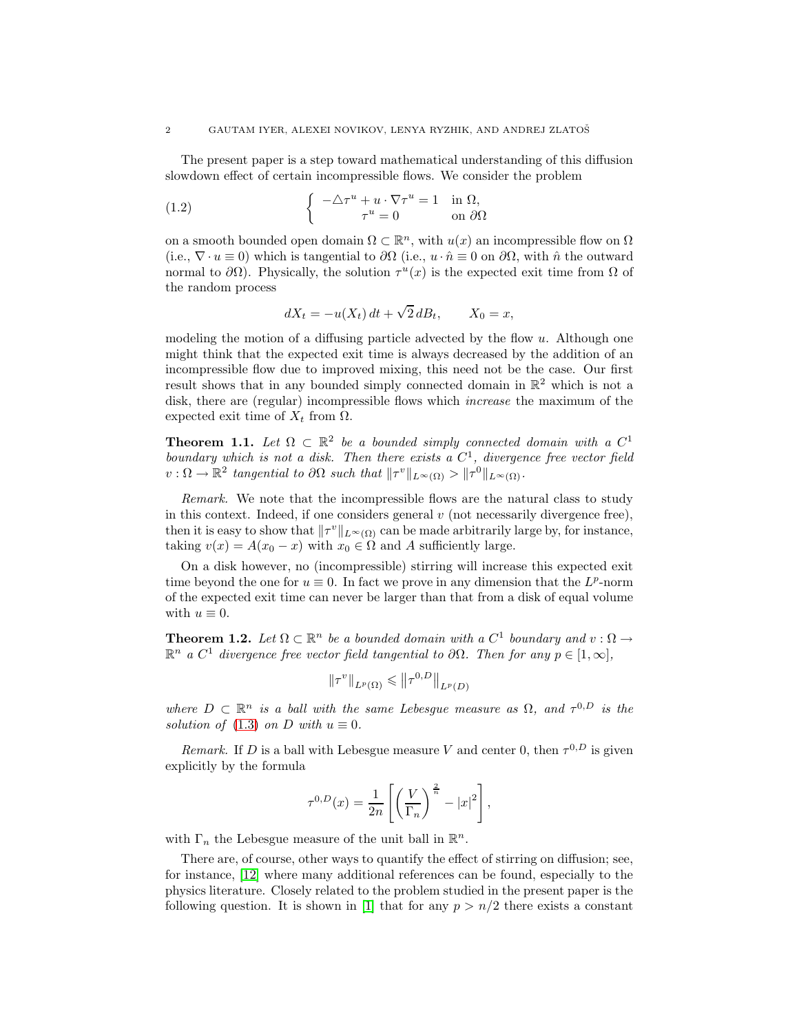The present paper is a step toward mathematical understanding of this diffusion slowdown effect of certain incompressible flows. We consider the problem

(1.2) 
$$
\begin{cases}\n-\Delta \tau^u + u \cdot \nabla \tau^u = 1 & \text{in } \Omega, \\
\tau^u = 0 & \text{on } \partial \Omega\n\end{cases}
$$

on a smooth bounded open domain  $\Omega \subset \mathbb{R}^n$ , with  $u(x)$  an incompressible flow on  $\Omega$ (i.e.,  $\nabla \cdot u \equiv 0$ ) which is tangential to  $\partial \Omega$  (i.e.,  $u \cdot \hat{n} \equiv 0$  on  $\partial \Omega$ , with  $\hat{n}$  the outward normal to  $\partial\Omega$ ). Physically, the solution  $\tau^u(x)$  is the expected exit time from  $\Omega$  of the random process

<span id="page-1-2"></span>
$$
dX_t = -u(X_t) dt + \sqrt{2} dB_t, \qquad X_0 = x,
$$

modeling the motion of a diffusing particle advected by the flow  $u$ . Although one might think that the expected exit time is always decreased by the addition of an incompressible flow due to improved mixing, this need not be the case. Our first result shows that in any bounded simply connected domain in  $\mathbb{R}^2$  which is not a disk, there are (regular) incompressible flows which *increase* the maximum of the expected exit time of  $X_t$  from  $\Omega$ .

<span id="page-1-0"></span>**Theorem 1.1.** Let  $\Omega \subset \mathbb{R}^2$  be a bounded simply connected domain with a  $C^1$ boundary which is not a disk. Then there exists a  $C<sup>1</sup>$ , divergence free vector field  $v: \Omega \to \mathbb{R}^2$  tangential to  $\partial \Omega$  such that  $||\tau^v||_{L^{\infty}(\Omega)} > ||\tau^0||_{L^{\infty}(\Omega)}$ .

Remark. We note that the incompressible flows are the natural class to study in this context. Indeed, if one considers general  $v$  (not necessarily divergence free), then it is easy to show that  $||\tau^v||_{L^{\infty}(\Omega)}$  can be made arbitrarily large by, for instance, taking  $v(x) = A(x_0 - x)$  with  $x_0 \in \Omega$  and A sufficiently large.

On a disk however, no (incompressible) stirring will increase this expected exit time beyond the one for  $u \equiv 0$ . In fact we prove in any dimension that the  $L^p$ -norm of the expected exit time can never be larger than that from a disk of equal volume with  $u \equiv 0$ .

<span id="page-1-1"></span>**Theorem 1.2.** Let  $\Omega \subset \mathbb{R}^n$  be a bounded domain with a  $C^1$  boundary and  $v : \Omega \to$  $\mathbb{R}^n$  a  $C^1$  divergence free vector field tangential to  $\partial\Omega$ . Then for any  $p \in [1,\infty]$ ,

$$
\|\tau^v\|_{L^p(\Omega)} \le \|\tau^{0,D}\|_{L^p(D)}
$$

where  $D \subset \mathbb{R}^n$  is a ball with the same Lebesgue measure as  $\Omega$ , and  $\tau^{0,D}$  is the solution of [\(1.3\)](#page-2-0) on D with  $u \equiv 0$ .

Remark. If D is a ball with Lebesgue measure V and center 0, then  $\tau^{0,D}$  is given explicitly by the formula

$$
\tau^{0,D}(x) = \frac{1}{2n} \left[ \left( \frac{V}{\Gamma_n} \right)^{\frac{2}{n}} - |x|^2 \right],
$$

with  $\Gamma_n$  the Lebesgue measure of the unit ball in  $\mathbb{R}^n$ .

There are, of course, other ways to quantify the effect of stirring on diffusion; see, for instance, [\[12\]](#page-15-3) where many additional references can be found, especially to the physics literature. Closely related to the problem studied in the present paper is the following question. It is shown in [\[1\]](#page-14-4) that for any  $p > n/2$  there exists a constant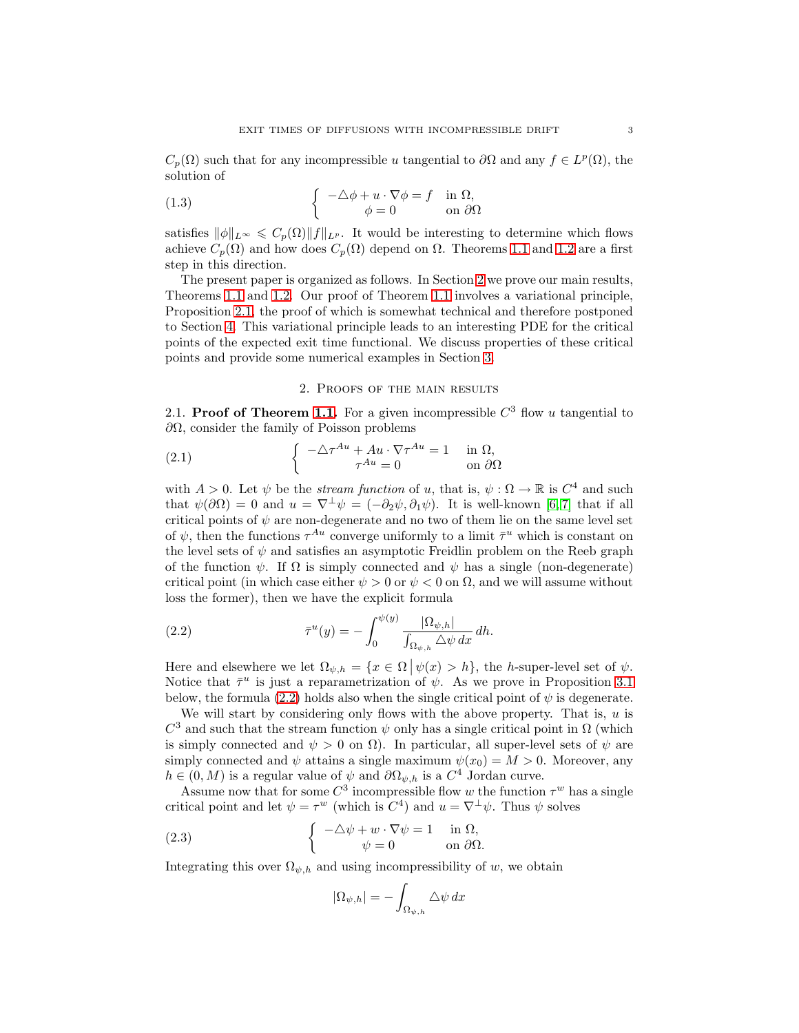$C_p(\Omega)$  such that for any incompressible u tangential to  $\partial\Omega$  and any  $f \in L^p(\Omega)$ , the solution of

<span id="page-2-0"></span>(1.3) 
$$
\begin{cases}\n-\Delta \phi + u \cdot \nabla \phi = f & \text{in } \Omega, \\
\phi = 0 & \text{on } \partial \Omega\n\end{cases}
$$

satisfies  $\|\phi\|_{L^{\infty}} \leqslant C_p(\Omega) \|f\|_{L^p}$ . It would be interesting to determine which flows achieve  $C_p(\Omega)$  and how does  $C_p(\Omega)$  depend on  $\Omega$ . Theorems [1.1](#page-1-0) and [1.2](#page-1-1) are a first step in this direction.

The present paper is organized as follows. In Section [2](#page-2-1) we prove our main results, Theorems [1.1](#page-1-0) and [1.2.](#page-1-1) Our proof of Theorem [1.1](#page-1-0) involves a variational principle, Proposition [2.1,](#page-3-0) the proof of which is somewhat technical and therefore postponed to Section [4.](#page-12-0) This variational principle leads to an interesting PDE for the critical points of the expected exit time functional. We discuss properties of these critical points and provide some numerical examples in Section [3.](#page-8-0)

## <span id="page-2-4"></span>2. Proofs of the main results

<span id="page-2-1"></span>2.1. Proof of Theorem [1.1.](#page-1-0) For a given incompressible  $C^3$  flow u tangential to  $\partial\Omega$ , consider the family of Poisson problems

(2.1) 
$$
\begin{cases}\n-\Delta \tau^{Au} + Au \cdot \nabla \tau^{Au} = 1 & \text{in } \Omega, \\
\tau^{Au} = 0 & \text{on } \partial \Omega\n\end{cases}
$$

with  $A > 0$ . Let  $\psi$  be the *stream function* of u, that is,  $\psi : \Omega \to \mathbb{R}$  is  $C^4$  and such that  $\psi(\partial\Omega) = 0$  and  $u = \nabla^{\perp}\psi = (-\partial_2\psi, \partial_1\psi)$ . It is well-known [\[6,](#page-14-5)7] that if all critical points of  $\psi$  are non-degenerate and no two of them lie on the same level set of  $\psi$ , then the functions  $\tau^{Au}$  converge uniformly to a limit  $\bar{\tau}^u$  which is constant on the level sets of  $\psi$  and satisfies an asymptotic Freidlin problem on the Reeb graph of the function  $\psi$ . If  $\Omega$  is simply connected and  $\psi$  has a single (non-degenerate) critical point (in which case either  $\psi > 0$  or  $\psi < 0$  on  $\Omega$ , and we will assume without loss the former), then we have the explicit formula

<span id="page-2-2"></span>(2.2) 
$$
\overline{\tau}^u(y) = -\int_0^{\psi(y)} \frac{|\Omega_{\psi,h}|}{\int_{\Omega_{\psi,h}} \Delta \psi \, dx} \, dh.
$$

Here and elsewhere we let  $\Omega_{\psi,h} = \{x \in \Omega \mid \psi(x) > h\}$ , the h-super-level set of  $\psi$ . Notice that  $\bar{\tau}^u$  is just a reparametrization of  $\psi$ . As we prove in Proposition [3.1](#page-8-1) below, the formula [\(2.2\)](#page-2-2) holds also when the single critical point of  $\psi$  is degenerate.

We will start by considering only flows with the above property. That is,  $u$  is  $C^3$  and such that the stream function  $\psi$  only has a single critical point in  $\Omega$  (which is simply connected and  $\psi > 0$  on  $\Omega$ ). In particular, all super-level sets of  $\psi$  are simply connected and  $\psi$  attains a single maximum  $\psi(x_0) = M > 0$ . Moreover, any  $h \in (0, M)$  is a regular value of  $\psi$  and  $\partial \Omega_{\psi,h}$  is a  $C^4$  Jordan curve.

Assume now that for some  $C^3$  incompressible flow w the function  $\tau^w$  has a single critical point and let  $\psi = \tau^w$  (which is  $C^4$ ) and  $u = \nabla^{\perp} \psi$ . Thus  $\psi$  solves

(2.3) 
$$
\begin{cases}\n-\Delta \psi + w \cdot \nabla \psi = 1 & \text{in } \Omega, \\
\psi = 0 & \text{on } \partial \Omega.\n\end{cases}
$$

Integrating this over  $\Omega_{\psi,h}$  and using incompressibility of w, we obtain

<span id="page-2-3"></span>
$$
|\Omega_{\psi,h}| = -\int_{\Omega_{\psi,h}} \Delta \psi \, dx
$$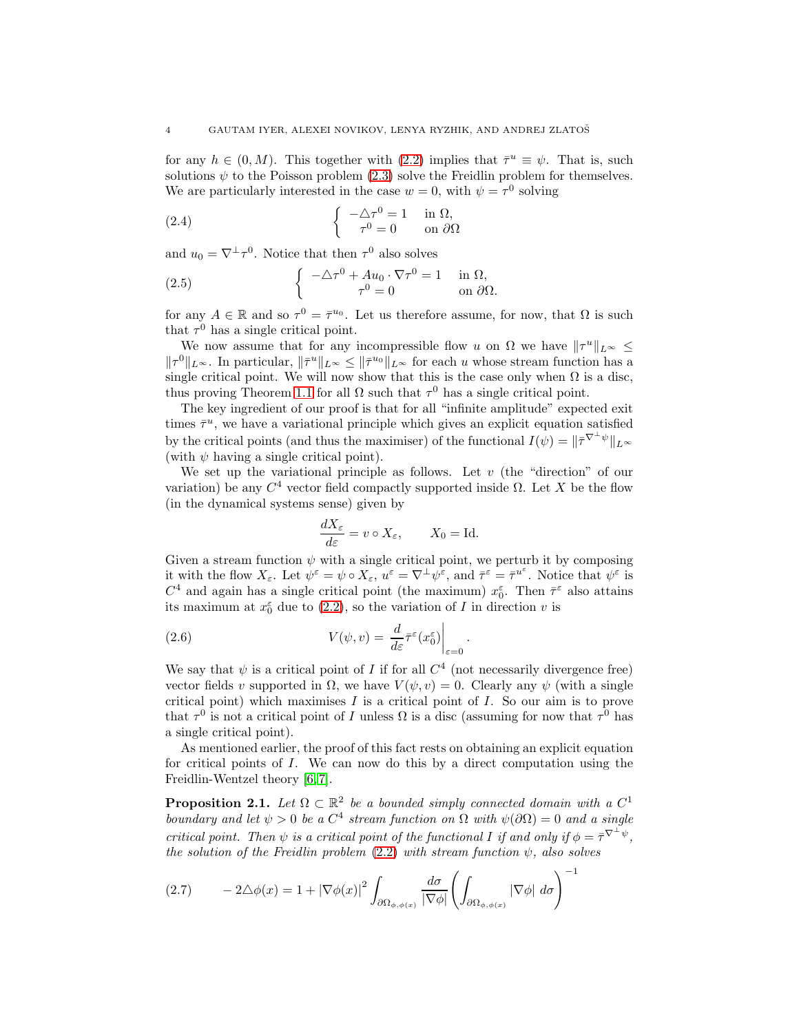for any  $h \in (0, M)$ . This together with [\(2.2\)](#page-2-2) implies that  $\bar{\tau}^u \equiv \psi$ . That is, such solutions  $\psi$  to the Poisson problem [\(2.3\)](#page-2-3) solve the Freidlin problem for themselves. We are particularly interested in the case  $w = 0$ , with  $\psi = \tau^0$  solving

(2.4) 
$$
\begin{cases} -\Delta \tau^0 = 1 & \text{in } \Omega, \\ \tau^0 = 0 & \text{on } \partial \Omega \end{cases}
$$

and  $u_0 = \nabla^{\perp} \tau^0$ . Notice that then  $\tau^0$  also solves

(2.5) 
$$
\begin{cases}\n-\Delta \tau^0 + Au_0 \cdot \nabla \tau^0 = 1 & \text{in } \Omega, \\
\tau^0 = 0 & \text{on } \partial \Omega.\n\end{cases}
$$

for any  $A \in \mathbb{R}$  and so  $\tau^0 = \bar{\tau}^{u_0}$ . Let us therefore assume, for now, that  $\Omega$  is such that  $\tau^0$  has a single critical point.

We now assume that for any incompressible flow u on  $\Omega$  we have  $||\tau^u||_{L^{\infty}} \le$  $\|\tau^0\|_{L^{\infty}}$ . In particular,  $\|\bar{\tau}^u\|_{L^{\infty}} \leq \|\bar{\tau}^{u_0}\|_{L^{\infty}}$  for each u whose stream function has a single critical point. We will now show that this is the case only when  $\Omega$  is a disc, thus proving Theorem [1.1](#page-1-0) for all  $\Omega$  such that  $\tau^0$  has a single critical point.

The key ingredient of our proof is that for all "infinite amplitude" expected exit times  $\bar{\tau}^u$ , we have a variational principle which gives an explicit equation satisfied by the critical points (and thus the maximiser) of the functional  $I(\psi) = ||\bar{\tau}^{\nabla^{\perp}\psi}||_{L^{\infty}}$ (with  $\psi$  having a single critical point).

We set up the variational principle as follows. Let  $v$  (the "direction" of our variation) be any  $C^4$  vector field compactly supported inside  $\Omega$ . Let X be the flow (in the dynamical systems sense) given by

<span id="page-3-2"></span>
$$
\frac{dX_{\varepsilon}}{d\varepsilon} = v \circ X_{\varepsilon}, \qquad X_0 = \text{Id}.
$$

Given a stream function  $\psi$  with a single critical point, we perturb it by composing it with the flow  $X_{\varepsilon}$ . Let  $\psi^{\varepsilon} = \psi \circ X_{\varepsilon}$ ,  $u^{\varepsilon} = \nabla^{\perp} \psi^{\varepsilon}$ , and  $\bar{\tau}^{\varepsilon} = \bar{\tau}^{u^{\varepsilon}}$ . Notice that  $\psi^{\varepsilon}$  is  $C^4$  and again has a single critical point (the maximum)  $x_0^{\varepsilon}$ . Then  $\bar{\tau}^{\varepsilon}$  also attains its maximum at  $x_0^{\varepsilon}$  due to [\(2.2\)](#page-2-2), so the variation of I in direction v is

.

(2.6) 
$$
V(\psi, v) = \frac{d}{d\varepsilon} \bar{\tau}^{\varepsilon}(x_0^{\varepsilon}) \Big|_{\varepsilon=0}
$$

We say that  $\psi$  is a critical point of I if for all  $C^4$  (not necessarily divergence free) vector fields v supported in  $\Omega$ , we have  $V(\psi, v) = 0$ . Clearly any  $\psi$  (with a single critical point) which maximises  $I$  is a critical point of  $I$ . So our aim is to prove that  $\tau^0$  is not a critical point of I unless  $\Omega$  is a disc (assuming for now that  $\tau^0$  has a single critical point).

As mentioned earlier, the proof of this fact rests on obtaining an explicit equation for critical points of I. We can now do this by a direct computation using the Freidlin-Wentzel theory [\[6,](#page-14-5) [7\]](#page-14-6).

<span id="page-3-0"></span>**Proposition 2.1.** Let  $\Omega \subset \mathbb{R}^2$  be a bounded simply connected domain with a  $C^1$ boundary and let  $\psi > 0$  be a  $C^4$  stream function on  $\Omega$  with  $\psi(\partial \Omega) = 0$  and a single critical point. Then  $\psi$  is a critical point of the functional I if and only if  $\phi = \overline{\tau}^{\nabla^{\perp}\psi}$ , the solution of the Freidlin problem  $(2.2)$  with stream function  $\psi$ , also solves

<span id="page-3-1"></span>
$$
(2.7) \qquad -2\triangle\phi(x) = 1 + |\nabla\phi(x)|^2 \int_{\partial\Omega_{\phi,\phi(x)}} \frac{d\sigma}{|\nabla\phi|} \left(\int_{\partial\Omega_{\phi,\phi(x)}} |\nabla\phi| \, d\sigma\right)^{-1}
$$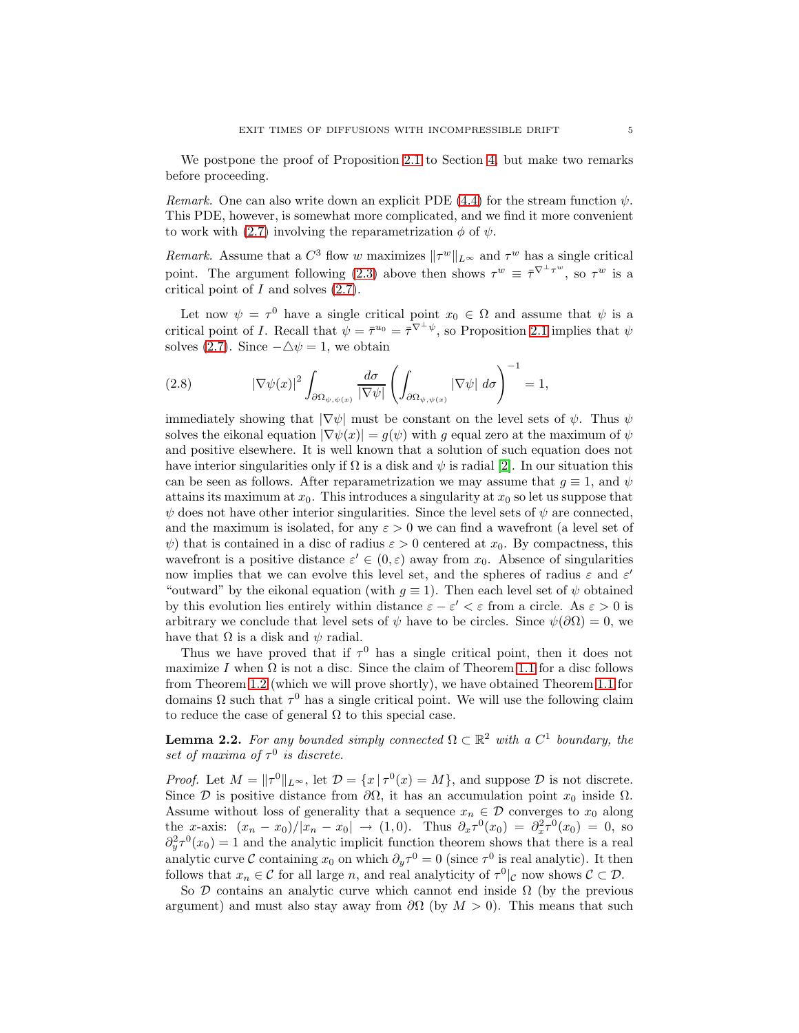We postpone the proof of Proposition [2.1](#page-3-0) to Section [4,](#page-12-0) but make two remarks before proceeding.

Remark. One can also write down an explicit PDE [\(4.4\)](#page-13-0) for the stream function  $\psi$ . This PDE, however, is somewhat more complicated, and we find it more convenient to work with [\(2.7\)](#page-3-1) involving the reparametrization  $\phi$  of  $\psi$ .

Remark. Assume that a  $C^3$  flow w maximizes  $\|\tau^w\|_{L^\infty}$  and  $\tau^w$  has a single critical point. The argument following [\(2.3\)](#page-2-3) above then shows  $\tau^w \equiv \bar{\tau}^{\nabla^{\perp} \tau^w}$ , so  $\tau^w$  is a critical point of  $I$  and solves  $(2.7)$ .

Let now  $\psi = \tau^0$  have a single critical point  $x_0 \in \Omega$  and assume that  $\psi$  is a critical point of *I*. Recall that  $\psi = \bar{\tau}^{u_0} = \bar{\tau}^{\nabla^{\perp} \psi}$ , so Proposition [2.1](#page-3-0) implies that  $\psi$ solves [\(2.7\)](#page-3-1). Since  $-\Delta \psi = 1$ , we obtain

(2.8) 
$$
|\nabla \psi(x)|^2 \int_{\partial \Omega_{\psi,\psi(x)}} \frac{d\sigma}{|\nabla \psi|} \left( \int_{\partial \Omega_{\psi,\psi(x)}} |\nabla \psi| \ d\sigma \right)^{-1} = 1,
$$

immediately showing that  $|\nabla \psi|$  must be constant on the level sets of  $\psi$ . Thus  $\psi$ solves the eikonal equation  $|\nabla \psi(x)| = g(\psi)$  with g equal zero at the maximum of  $\psi$ and positive elsewhere. It is well known that a solution of such equation does not have interior singularities only if  $\Omega$  is a disk and  $\psi$  is radial [\[2\]](#page-14-7). In our situation this can be seen as follows. After reparametrization we may assume that  $q \equiv 1$ , and  $\psi$ attains its maximum at  $x_0$ . This introduces a singularity at  $x_0$  so let us suppose that  $\psi$  does not have other interior singularities. Since the level sets of  $\psi$  are connected, and the maximum is isolated, for any  $\varepsilon > 0$  we can find a wavefront (a level set of  $\psi$ ) that is contained in a disc of radius  $\varepsilon > 0$  centered at  $x_0$ . By compactness, this wavefront is a positive distance  $\varepsilon' \in (0, \varepsilon)$  away from  $x_0$ . Absence of singularities now implies that we can evolve this level set, and the spheres of radius  $\varepsilon$  and  $\varepsilon'$ "outward" by the eikonal equation (with  $q \equiv 1$ ). Then each level set of  $\psi$  obtained by this evolution lies entirely within distance  $\varepsilon - \varepsilon' < \varepsilon$  from a circle. As  $\varepsilon > 0$  is arbitrary we conclude that level sets of  $\psi$  have to be circles. Since  $\psi(\partial\Omega) = 0$ , we have that  $\Omega$  is a disk and  $\psi$  radial.

Thus we have proved that if  $\tau^0$  has a single critical point, then it does not maximize I when  $\Omega$  is not a disc. Since the claim of Theorem [1.1](#page-1-0) for a disc follows from Theorem [1.2](#page-1-1) (which we will prove shortly), we have obtained Theorem [1.1](#page-1-0) for domains  $\Omega$  such that  $\tau^0$  has a single critical point. We will use the following claim to reduce the case of general  $\Omega$  to this special case.

<span id="page-4-0"></span>**Lemma 2.2.** For any bounded simply connected  $\Omega \subset \mathbb{R}^2$  with a  $C^1$  boundary, the set of maxima of  $\tau^0$  is discrete.

*Proof.* Let  $M = ||\tau^0||_{L^\infty}$ , let  $\mathcal{D} = \{x \mid \tau^0(x) = M\}$ , and suppose  $\mathcal{D}$  is not discrete. Since  $\mathcal D$  is positive distance from  $\partial\Omega$ , it has an accumulation point  $x_0$  inside  $\Omega$ . Assume without loss of generality that a sequence  $x_n \in \mathcal{D}$  converges to  $x_0$  along the x-axis:  $(x_n - x_0)/|x_n - x_0| \to (1, 0)$ . Thus  $\partial_x \tau^0(x_0) = \partial_x^2 \tau^0(x_0) = 0$ , so  $\partial_y^2 \tau^0(x_0) = 1$  and the analytic implicit function theorem shows that there is a real analytic curve C containing  $x_0$  on which  $\partial_y \tau^0 = 0$  (since  $\tau^0$  is real analytic). It then follows that  $x_n \in \mathcal{C}$  for all large n, and real analyticity of  $\tau^0|_{\mathcal{C}}$  now shows  $\mathcal{C} \subset \mathcal{D}$ .

So  $\mathcal D$  contains an analytic curve which cannot end inside  $\Omega$  (by the previous argument) and must also stay away from  $\partial\Omega$  (by  $M > 0$ ). This means that such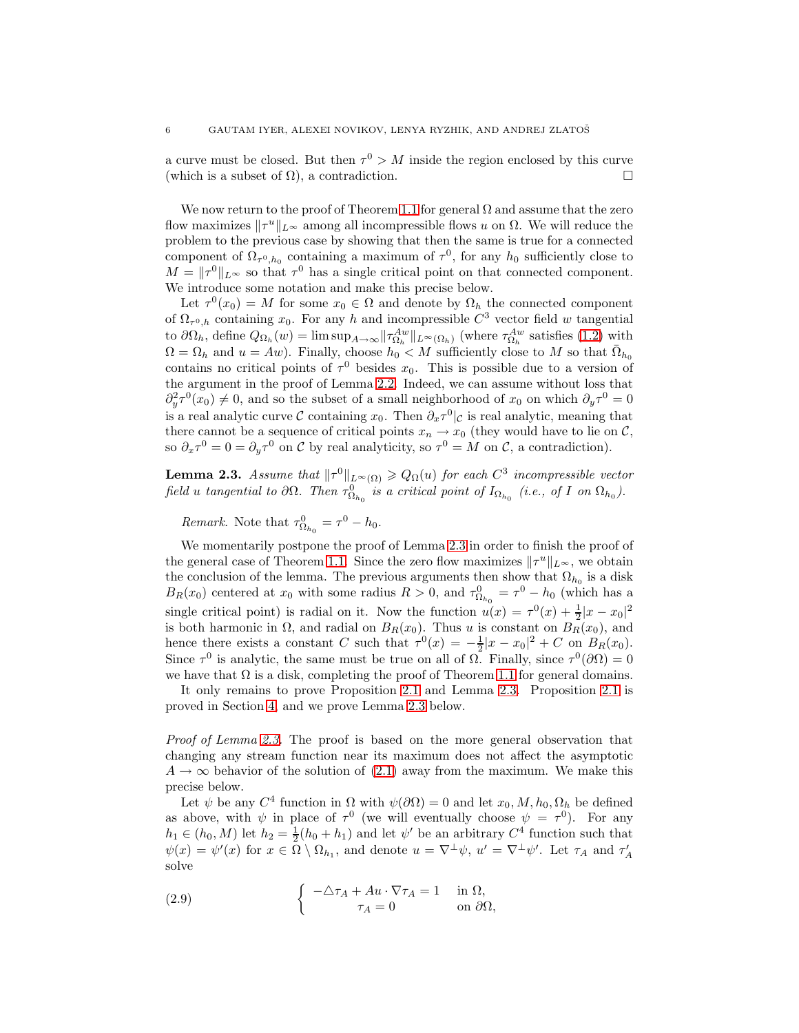a curve must be closed. But then  $\tau^0 > M$  inside the region enclosed by this curve (which is a subset of  $\Omega$ ), a contradiction.

We now return to the proof of Theorem [1.1](#page-1-0) for general  $\Omega$  and assume that the zero flow maximizes  $||\tau^u||_{L^{\infty}}$  among all incompressible flows u on  $\Omega$ . We will reduce the problem to the previous case by showing that then the same is true for a connected component of  $\Omega_{\tau^0,h_0}$  containing a maximum of  $\tau^0$ , for any  $h_0$  sufficiently close to  $M = ||\tau^0||_{L^{\infty}}$  so that  $\tau^0$  has a single critical point on that connected component. We introduce some notation and make this precise below.

Let  $\tau^0(x_0) = M$  for some  $x_0 \in \Omega$  and denote by  $\Omega_h$  the connected component of  $\Omega_{\tau^{0},h}$  containing  $x_0$ . For any h and incompressible  $C^3$  vector field w tangential to  $\partial\Omega_h$ , define  $Q_{\Omega_h}(w) = \limsup_{A\to\infty} ||\tau_{\Omega_h}^{Aw}||_{L^{\infty}(\Omega_h)}$  (where  $\tau_{\Omega_h}^{Aw}$  satisfies [\(1.2\)](#page-1-2) with  $\Omega = \Omega_h$  and  $u = Aw$ ). Finally, choose  $h_0 \lt M$  sufficiently close to M so that  $\overline{\Omega}_{h_0}$ contains no critical points of  $\tau^0$  besides  $x_0$ . This is possible due to a version of the argument in the proof of Lemma [2.2.](#page-4-0) Indeed, we can assume without loss that  $\partial_y^2 \tau^0(x_0) \neq 0$ , and so the subset of a small neighborhood of  $x_0$  on which  $\partial_y \tau^0 = 0$ is a real analytic curve C containing  $x_0$ . Then  $\partial_x \tau^0|_C$  is real analytic, meaning that there cannot be a sequence of critical points  $x_n \to x_0$  (they would have to lie on C, so  $\partial_x \tau^0 = 0 = \partial_y \tau^0$  on C by real analyticity, so  $\tau^0 = M$  on C, a contradiction).

<span id="page-5-0"></span>**Lemma 2.3.** Assume that  $||\tau^0||_{L^{\infty}(\Omega)} \geq Q_{\Omega}(u)$  for each  $C^3$  incompressible vector field u tangential to  $\partial\Omega$ . Then  $\tau_{\Omega_{h_0}}^0$  is a critical point of  $I_{\Omega_{h_0}}$  (i.e., of I on  $\Omega_{h_0}$ ).

Remark. Note that  $\tau_{\Omega_{h_0}}^0 = \tau^0 - h_0$ .

We momentarily postpone the proof of Lemma [2.3](#page-5-0) in order to finish the proof of the general case of Theorem [1.1.](#page-1-0) Since the zero flow maximizes  $||\tau^u||_{L^{\infty}}$ , we obtain the conclusion of the lemma. The previous arguments then show that  $\Omega_{h_0}$  is a disk  $B_R(x_0)$  centered at  $x_0$  with some radius  $R > 0$ , and  $\tau_{\Omega_{h_0}}^0 = \tau^0 - h_0$  (which has a single critical point) is radial on it. Now the function  $u(x) = \tau^0(x) + \frac{1}{2}|x - x_0|^2$ is both harmonic in  $\Omega$ , and radial on  $B_R(x_0)$ . Thus u is constant on  $B_R(x_0)$ , and hence there exists a constant C such that  $\tau^0(x) = -\frac{1}{2}|x - x_0|^2 + C$  on  $B_R(x_0)$ . Since  $\tau^0$  is analytic, the same must be true on all of  $\Omega$ . Finally, since  $\tau^0(\partial\Omega) = 0$ we have that  $\Omega$  is a disk, completing the proof of Theorem [1.1](#page-1-0) for general domains.

It only remains to prove Proposition [2.1](#page-3-0) and Lemma [2.3.](#page-5-0) Proposition [2.1](#page-3-0) is proved in Section [4,](#page-12-0) and we prove Lemma [2.3](#page-5-0) below.

Proof of Lemma [2.3.](#page-5-0) The proof is based on the more general observation that changing any stream function near its maximum does not affect the asymptotic  $A \to \infty$  behavior of the solution of [\(2.1\)](#page-2-4) away from the maximum. We make this precise below.

Let  $\psi$  be any  $C^4$  function in  $\Omega$  with  $\psi(\partial\Omega) = 0$  and let  $x_0, M, h_0, \Omega_h$  be defined as above, with  $\psi$  in place of  $\tau^0$  (we will eventually choose  $\psi = \tau^0$ ). For any  $h_1 \in (h_0, M)$  let  $h_2 = \frac{1}{2}(h_0 + h_1)$  and let  $\psi'$  be an arbitrary  $C^4$  function such that  $\psi(x) = \psi'(x)$  for  $x \in \Omega \setminus \Omega_{h_1}$ , and denote  $u = \nabla^{\perp} \psi$ ,  $u' = \nabla^{\perp} \psi'$ . Let  $\tau_A$  and  $\tau'_A$ solve

<span id="page-5-1"></span>(2.9) 
$$
\begin{cases}\n-\Delta \tau_A + Au \cdot \nabla \tau_A = 1 & \text{in } \Omega, \\
\tau_A = 0 & \text{on } \partial \Omega,\n\end{cases}
$$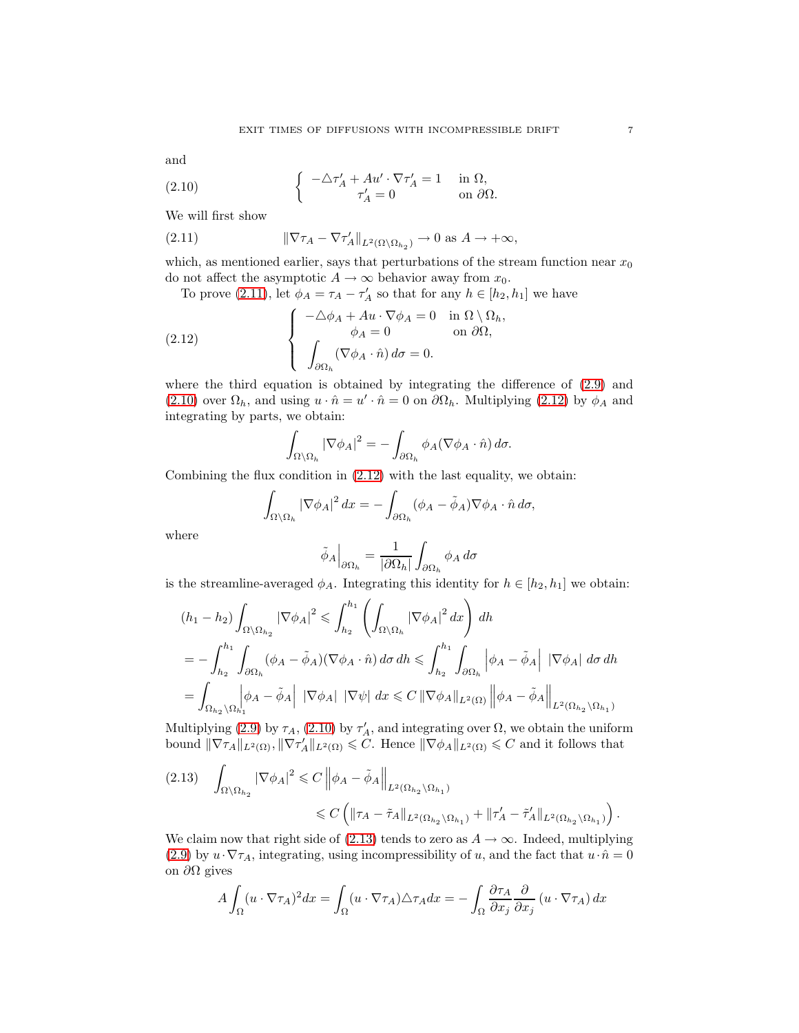<span id="page-6-1"></span>and

(2.10) 
$$
\begin{cases}\n-\Delta \tau_A' + A u' \cdot \nabla \tau_A' = 1 & \text{in } \Omega, \\
\tau_A' = 0 & \text{on } \partial \Omega.\n\end{cases}
$$

We will first show

<span id="page-6-0"></span>(2.11) 
$$
\|\nabla \tau_A - \nabla \tau'_A\|_{L^2(\Omega \setminus \Omega_{h_2})} \to 0 \text{ as } A \to +\infty,
$$

which, as mentioned earlier, says that perturbations of the stream function near  $x_0$ do not affect the asymptotic  $A \to \infty$  behavior away from  $x_0$ .

To prove [\(2.11\)](#page-6-0), let  $\phi_A = \tau_A - \tau'_A$  so that for any  $h \in [h_2, h_1]$  we have

(2.12) 
$$
\begin{cases}\n-\Delta \phi_A + Au \cdot \nabla \phi_A = 0 & \text{in } \Omega \setminus \Omega_h, \\
\phi_A = 0 & \text{on } \partial \Omega, \\
\int_{\partial \Omega_h} (\nabla \phi_A \cdot \hat{n}) d\sigma = 0.\n\end{cases}
$$

where the third equation is obtained by integrating the difference of [\(2.9\)](#page-5-1) and [\(2.10\)](#page-6-1) over  $\Omega_h$ , and using  $u \cdot \hat{n} = u' \cdot \hat{n} = 0$  on  $\partial \Omega_h$ . Multiplying [\(2.12\)](#page-6-2) by  $\phi_A$  and integrating by parts, we obtain:

<span id="page-6-2"></span>
$$
\int_{\Omega \setminus \Omega_h} |\nabla \phi_A|^2 = - \int_{\partial \Omega_h} \phi_A (\nabla \phi_A \cdot \hat{n}) \, d\sigma.
$$

Combining the flux condition in [\(2.12\)](#page-6-2) with the last equality, we obtain:

$$
\int_{\Omega \setminus \Omega_h} |\nabla \phi_A|^2 dx = - \int_{\partial \Omega_h} (\phi_A - \tilde{\phi}_A) \nabla \phi_A \cdot \hat{n} d\sigma,
$$

where

$$
\tilde{\phi}_A\Big|_{\partial\Omega_h} = \frac{1}{|\partial\Omega_h|} \int_{\partial\Omega_h} \phi_A \, d\sigma
$$

is the streamline-averaged  $\phi_A$ . Integrating this identity for  $h \in [h_2, h_1]$  we obtain:

$$
(h_1 - h_2) \int_{\Omega \setminus \Omega_{h_2}} |\nabla \phi_A|^2 \leq \int_{h_2}^{h_1} \left( \int_{\Omega \setminus \Omega_h} |\nabla \phi_A|^2 dx \right) dh
$$
  
=  $-\int_{h_2}^{h_1} \int_{\partial \Omega_h} (\phi_A - \tilde{\phi}_A)(\nabla \phi_A \cdot \hat{n}) d\sigma dh \leq \int_{h_2}^{h_1} \int_{\partial \Omega_h} |\phi_A - \tilde{\phi}_A| |\nabla \phi_A| d\sigma dh$   
=  $\int_{\Omega_{h_2} \setminus \Omega_{h_1}} |\phi_A - \tilde{\phi}_A| |\nabla \phi_A| |\nabla \psi| dx \leq C ||\nabla \phi_A||_{L^2(\Omega)} ||\phi_A - \tilde{\phi}_A||_{L^2(\Omega_{h_2} \setminus \Omega_{h_1})}$ 

Multiplying [\(2.9\)](#page-5-1) by  $\tau_A$ , [\(2.10\)](#page-6-1) by  $\tau'_A$ , and integrating over  $\Omega$ , we obtain the uniform bound  $\|\nabla \tau_A\|_{L^2(\Omega)}, \|\nabla \tau'_A\|_{L^2(\Omega)} \leqslant C$ . Hence  $\|\nabla \phi_A\|_{L^2(\Omega)} \leqslant C$  and it follows that

<span id="page-6-3"></span>
$$
(2.13) \quad \int_{\Omega \setminus \Omega_{h_2}} |\nabla \phi_A|^2 \leq C \left\| \phi_A - \tilde{\phi}_A \right\|_{L^2(\Omega_{h_2} \setminus \Omega_{h_1})} \leq C \left( \|\tau_A - \tilde{\tau}_A\|_{L^2(\Omega_{h_2} \setminus \Omega_{h_1})} + \|\tau_A' - \tilde{\tau}_A'\|_{L^2(\Omega_{h_2} \setminus \Omega_{h_1})} \right).
$$

We claim now that right side of [\(2.13\)](#page-6-3) tends to zero as  $A \rightarrow \infty$ . Indeed, multiplying [\(2.9\)](#page-5-1) by  $u \cdot \nabla \tau_A$ , integrating, using incompressibility of u, and the fact that  $u \cdot \hat{n} = 0$ on  $\partial Ω$  gives

$$
A \int_{\Omega} (u \cdot \nabla \tau_A)^2 dx = \int_{\Omega} (u \cdot \nabla \tau_A) \triangle \tau_A dx = - \int_{\Omega} \frac{\partial \tau_A}{\partial x_j} \frac{\partial}{\partial x_j} (u \cdot \nabla \tau_A) dx
$$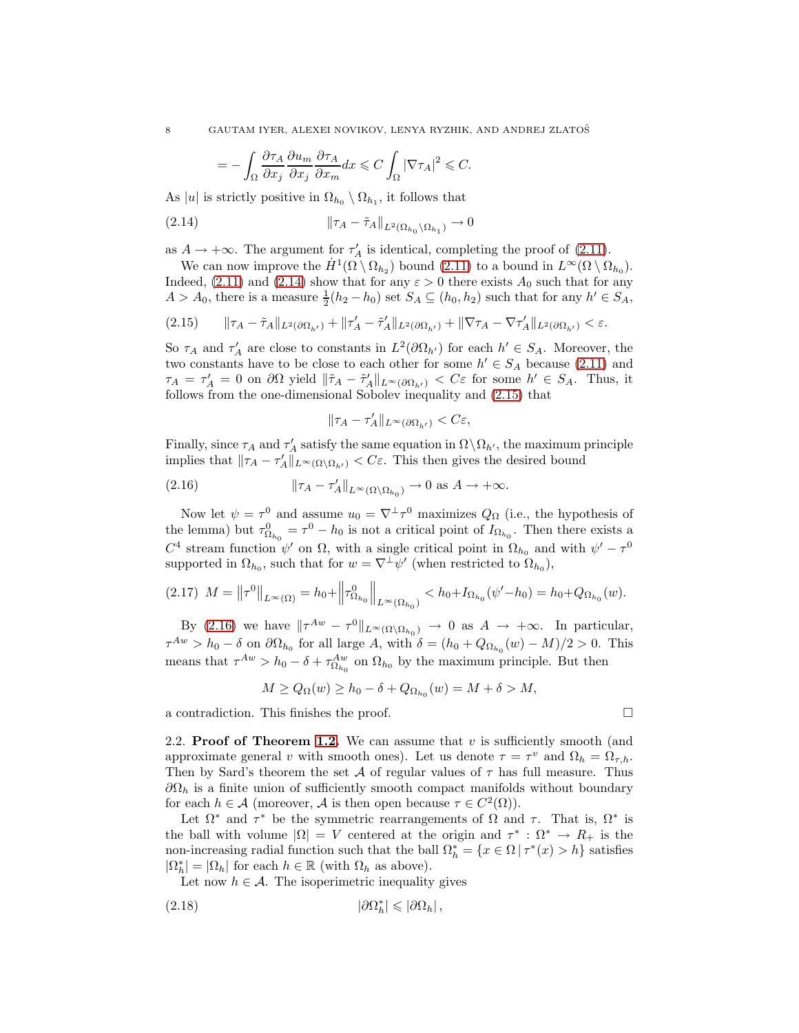<span id="page-7-0"></span>
$$
= -\int_{\Omega} \frac{\partial \tau_A}{\partial x_j} \frac{\partial u_m}{\partial x_j} \frac{\partial \tau_A}{\partial x_m} dx \leqslant C \int_{\Omega} |\nabla \tau_A|^2 \leqslant C.
$$

As |u| is strictly positive in  $\Omega_{h_0} \setminus \Omega_{h_1}$ , it follows that

(2.14) <sup>k</sup>τ<sup>A</sup> <sup>−</sup> <sup>τ</sup>˜AkL2(Ωh<sup>0</sup> \Ωh<sup>1</sup> ) → 0

as  $A \to +\infty$ . The argument for  $\tau'_A$  is identical, completing the proof of [\(2.11\)](#page-6-0).

We can now improve the  $H^1(\Omega \setminus \Omega_{h_2})$  bound [\(2.11\)](#page-6-0) to a bound in  $L^{\infty}(\Omega \setminus \Omega_{h_0})$ . Indeed, [\(2.11\)](#page-6-0) and [\(2.14\)](#page-7-0) show that for any  $\varepsilon > 0$  there exists  $A_0$  such that for any  $A > A_0$ , there is a measure  $\frac{1}{2}(h_2 - h_0)$  set  $S_A \subseteq (h_0, h_2)$  such that for any  $h' \in S_A$ ,

<span id="page-7-1"></span>
$$
(2.15) \qquad \|\tau_A - \tilde{\tau}_A\|_{L^2(\partial\Omega_{h'})} + \|\tau_A' - \tilde{\tau}_A'\|_{L^2(\partial\Omega_{h'})} + \|\nabla \tau_A - \nabla \tau_A'\|_{L^2(\partial\Omega_{h'})} < \varepsilon.
$$

So  $\tau_A$  and  $\tau'_A$  are close to constants in  $L^2(\partial \Omega_{h'})$  for each  $h' \in S_A$ . Moreover, the two constants have to be close to each other for some  $h' \in S_A$  because [\(2.11\)](#page-6-0) and  $\tau_A = \tau'_A = 0$  on  $\partial\Omega$  yield  $\|\tilde{\tau}_A - \tilde{\tau}'_A\|_{L^{\infty}(\partial\Omega_{h'})} < C\varepsilon$  for some  $h' \in S_A$ . Thus, it follows from the one-dimensional Sobolev inequality and [\(2.15\)](#page-7-1) that

<span id="page-7-2"></span>
$$
\|\tau_A-\tau_A'\|_{L^\infty(\partial\Omega_{h'})}
$$

Finally, since  $\tau_A$  and  $\tau'_A$  satisfy the same equation in  $\Omega \setminus \Omega_{h'}$ , the maximum principle implies that  $\|\tau_A - \tau_A'\|_{L^\infty(\Omega \setminus \Omega_{h'})} < C\varepsilon$ . This then gives the desired bound

(2.16) 
$$
\|\tau_A - \tau'_A\|_{L^\infty(\Omega \setminus \Omega_{h_0})} \to 0 \text{ as } A \to +\infty.
$$

Now let  $\psi = \tau^0$  and assume  $u_0 = \nabla^{\perp} \tau^0$  maximizes  $Q_{\Omega}$  (i.e., the hypothesis of the lemma) but  $\tau_{\Omega_{h_0}}^0 = \tau^0 - h_0$  is not a critical point of  $I_{\Omega_{h_0}}$ . Then there exists a  $C^4$  stream function  $\psi'$  on Ω, with a single critical point in Ω<sub>h<sub>0</sub></sub> and with  $\psi' - \tau^0$ supported in  $\Omega_{h_0}$ , such that for  $w = \nabla^{\perp}\psi'$  (when restricted to  $\Omega_{h_0}$ ),

$$
(2.17) \ \ M = \left\|\tau^{0}\right\|_{L^{\infty}(\Omega)} = h_{0} + \left\|\tau^{0}_{\Omega_{h_{0}}}\right\|_{L^{\infty}(\Omega_{h_{0}})} < h_{0} + I_{\Omega_{h_{0}}}(\psi'-h_{0}) = h_{0} + Q_{\Omega_{h_{0}}}(w).
$$

By [\(2.16\)](#page-7-2) we have  $\|\tau^{Aw} - \tau^0\|_{L^{\infty}(\Omega \setminus \Omega_{h_0})} \to 0$  as  $A \to +\infty$ . In particular,  $\tau^{Aw} > h_0 - \delta$  on  $\partial \Omega_{h_0}$  for all large A, with  $\delta = (h_0 + Q_{\Omega_{h_0}}(w) - M)/2 > 0$ . This means that  $\tau^{Aw} > h_0 - \delta + \tau_{\Omega_{h_0}}^{Aw}$  on  $\Omega_{h_0}$  by the maximum principle. But then

$$
M \ge Q_{\Omega}(w) \ge h_0 - \delta + Q_{\Omega_{h_0}}(w) = M + \delta > M,
$$

a contradiction. This finishes the proof.

2.2. Proof of Theorem [1.2.](#page-1-1) We can assume that  $v$  is sufficiently smooth (and approximate general v with smooth ones). Let us denote  $\tau = \tau^v$  and  $\Omega_h = \Omega_{\tau,h}$ . Then by Sard's theorem the set  $A$  of regular values of  $\tau$  has full measure. Thus  $\partial\Omega_h$  is a finite union of sufficiently smooth compact manifolds without boundary for each  $h \in \mathcal{A}$  (moreover,  $\mathcal{A}$  is then open because  $\tau \in C^2(\Omega)$ ).

Let  $\Omega^*$  and  $\tau^*$  be the symmetric rearrangements of  $\Omega$  and  $\tau$ . That is,  $\Omega^*$  is the ball with volume  $|\Omega| = V$  centered at the origin and  $\tau^* : \Omega^* \to R_+$  is the non-increasing radial function such that the ball  $\Omega_h^* = \{x \in \Omega \mid \tau^*(x) > h\}$  satisfies  $|\Omega_h^*| = |\Omega_h|$  for each  $h \in \mathbb{R}$  (with  $\Omega_h$  as above).

<span id="page-7-3"></span>Let now  $h \in \mathcal{A}$ . The isoperimetric inequality gives

$$
(2.18) \t\t\t |\partial\Omega_h^*| \leq |\partial\Omega_h|,
$$

$$
\qquad \qquad \Box
$$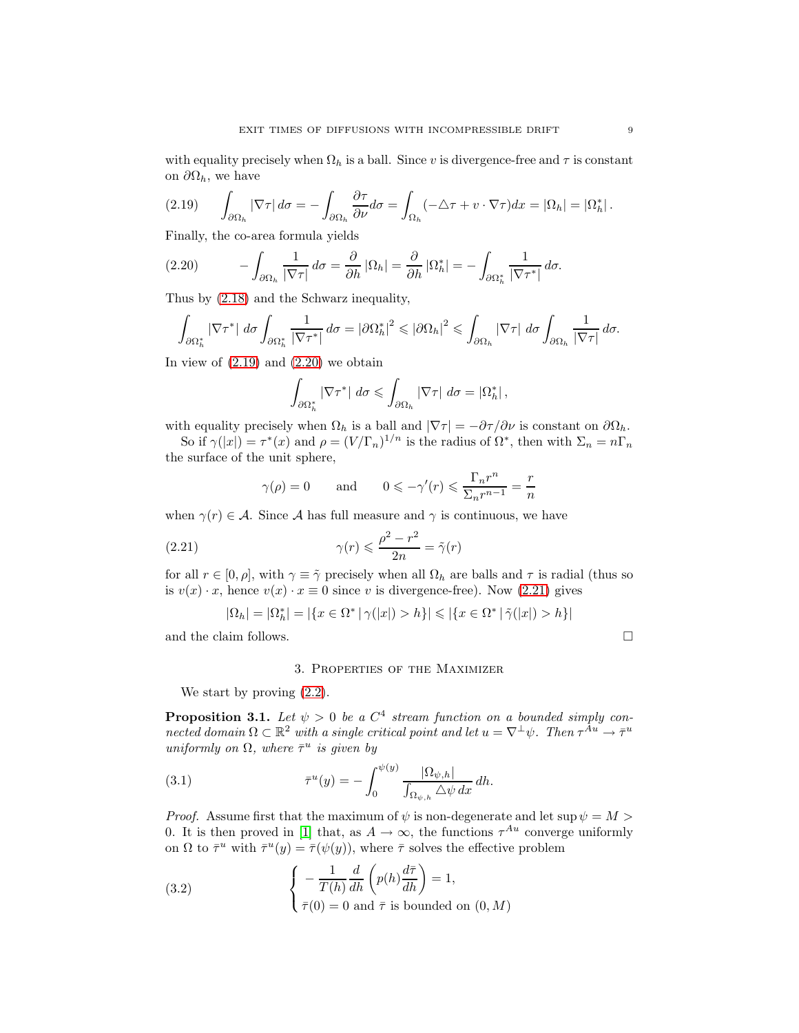with equality precisely when  $\Omega_h$  is a ball. Since v is divergence-free and  $\tau$  is constant on  $\partial\Omega_h$ , we have

<span id="page-8-2"></span>
$$
(2.19) \qquad \int_{\partial\Omega_h} |\nabla \tau| \, d\sigma = -\int_{\partial\Omega_h} \frac{\partial \tau}{\partial \nu} d\sigma = \int_{\Omega_h} (-\triangle \tau + v \cdot \nabla \tau) dx = |\Omega_h| = |\Omega_h^*|.
$$

Finally, the co-area formula yields

<span id="page-8-3"></span>
$$
(2.20) \qquad -\int_{\partial\Omega_h} \frac{1}{|\nabla\tau|} \, d\sigma = \frac{\partial}{\partial h} |\Omega_h| = \frac{\partial}{\partial h} |\Omega_h^*| = -\int_{\partial\Omega_h^*} \frac{1}{|\nabla\tau^*|} \, d\sigma.
$$

Thus by [\(2.18\)](#page-7-3) and the Schwarz inequality,

$$
\int_{\partial\Omega_h^*} |\nabla \tau^*| \, d\sigma \int_{\partial\Omega_h^*} \frac{1}{|\nabla \tau^*|} \, d\sigma = |\partial\Omega_h^*|^2 \leqslant |\partial\Omega_h|^2 \leqslant \int_{\partial\Omega_h} |\nabla \tau| \, d\sigma \int_{\partial\Omega_h} \frac{1}{|\nabla \tau|} \, d\sigma.
$$

In view of  $(2.19)$  and  $(2.20)$  we obtain

$$
\int_{\partial\Omega_h^*} |\nabla \tau^*| \, d\sigma \leqslant \int_{\partial\Omega_h} |\nabla \tau| \, d\sigma = |\Omega_h^*|,
$$

with equality precisely when  $\Omega_h$  is a ball and  $|\nabla \tau| = -\partial \tau/\partial \nu$  is constant on  $\partial \Omega_h$ .

So if  $\gamma(|x|) = \tau^*(x)$  and  $\rho = (V/\Gamma_n)^{1/n}$  is the radius of  $\Omega^*$ , then with  $\Sigma_n = n\Gamma_n$ the surface of the unit sphere,

<span id="page-8-4"></span>
$$
\gamma(\rho) = 0
$$
 and  $0 \le -\gamma'(r) \le \frac{\Gamma_n r^n}{\Sigma_n r^{n-1}} = \frac{r}{n}$ 

when  $\gamma(r) \in \mathcal{A}$ . Since A has full measure and  $\gamma$  is continuous, we have

(2.21) 
$$
\gamma(r) \leqslant \frac{\rho^2 - r^2}{2n} = \tilde{\gamma}(r)
$$

for all  $r \in [0, \rho]$ , with  $\gamma \equiv \tilde{\gamma}$  precisely when all  $\Omega_h$  are balls and  $\tau$  is radial (thus so is  $v(x) \cdot x$ , hence  $v(x) \cdot x \equiv 0$  since v is divergence-free). Now [\(2.21\)](#page-8-4) gives

$$
|\Omega_h| = |\Omega_h^*| = |\{x \in \Omega^* \mid \gamma(|x|) > h\}| \le |\{x \in \Omega^* \mid \tilde{\gamma}(|x|) > h\}|
$$

<span id="page-8-0"></span>and the claim follows.  $\Box$ 

## 3. Properties of the Maximizer

We start by proving [\(2.2\)](#page-2-2).

<span id="page-8-1"></span>**Proposition 3.1.** Let  $\psi > 0$  be a  $C^4$  stream function on a bounded simply connected domain  $\Omega \subset \mathbb{R}^2$  with a single critical point and let  $u = \nabla^{\perp} \psi$ . Then  $\tau^{\tilde{A}u} \to \bar{\tau}^u$ uniformly on  $\Omega$ , where  $\bar{\tau}^u$  is given by

(3.1) 
$$
\overline{\tau}^u(y) = -\int_0^{\psi(y)} \frac{|\Omega_{\psi,h}|}{\int_{\Omega_{\psi,h}} \Delta \psi \, dx} \, dh.
$$

*Proof.* Assume first that the maximum of  $\psi$  is non-degenerate and let sup  $\psi = M >$ 0. It is then proved in [\[1\]](#page-14-4) that, as  $A \to \infty$ , the functions  $\tau^{Au}$  converge uniformly on  $\Omega$  to  $\bar{\tau}^u$  with  $\bar{\tau}^u(y) = \bar{\tau}(\psi(y))$ , where  $\bar{\tau}$  solves the effective problem

<span id="page-8-5"></span>(3.2) 
$$
\begin{cases}\n-\frac{1}{T(h)}\frac{d}{dh}\left(p(h)\frac{d\bar{\tau}}{dh}\right) = 1, \\
\bar{\tau}(0) = 0 \text{ and } \bar{\tau} \text{ is bounded on } (0, M)\n\end{cases}
$$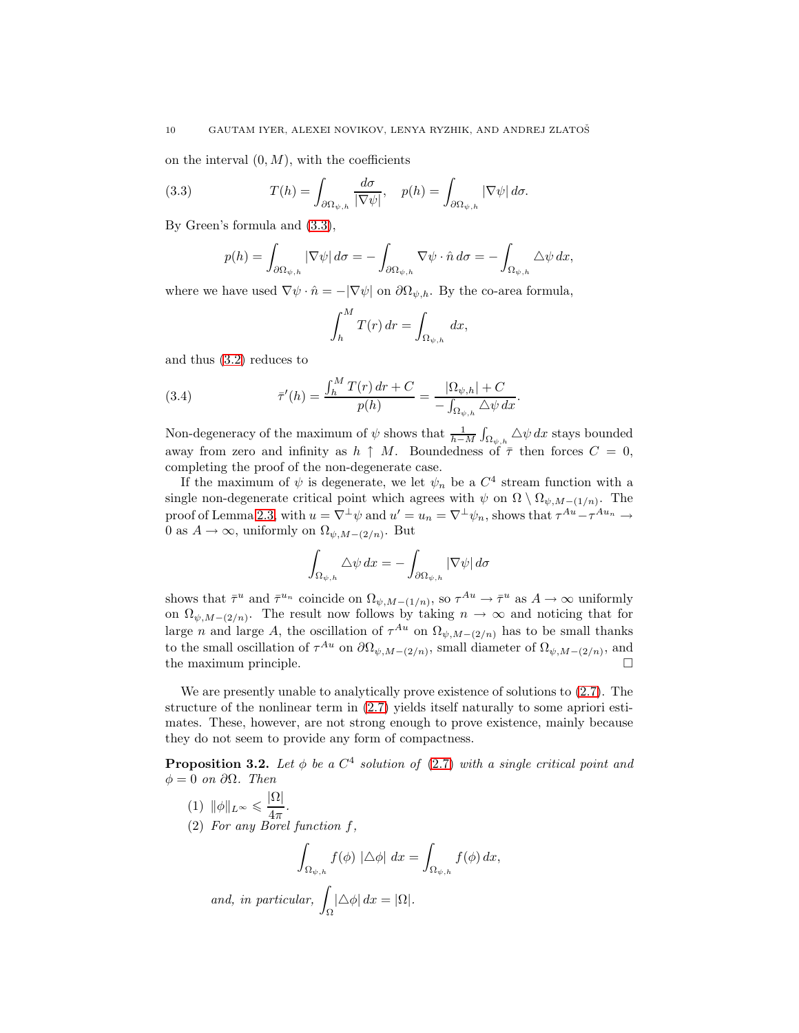on the interval  $(0, M)$ , with the coefficients

(3.3) 
$$
T(h) = \int_{\partial \Omega_{\psi,h}} \frac{d\sigma}{|\nabla \psi|}, \quad p(h) = \int_{\partial \Omega_{\psi,h}} |\nabla \psi| d\sigma.
$$

By Green's formula and [\(3.3\)](#page-9-0),

<span id="page-9-0"></span>
$$
p(h) = \int_{\partial \Omega_{\psi,h}} |\nabla \psi| d\sigma = -\int_{\partial \Omega_{\psi,h}} \nabla \psi \cdot \hat{n} d\sigma = -\int_{\Omega_{\psi,h}} \Delta \psi dx,
$$

where we have used  $\nabla \psi \cdot \hat{n} = -|\nabla \psi|$  on  $\partial \Omega_{\psi,h}$ . By the co-area formula,

$$
\int_h^M T(r) dr = \int_{\Omega_{\psi,h}} dx,
$$

and thus [\(3.2\)](#page-8-5) reduces to

(3.4) 
$$
\bar{\tau}'(h) = \frac{\int_h^M T(r) dr + C}{p(h)} = \frac{|\Omega_{\psi,h}| + C}{-\int_{\Omega_{\psi,h}} \Delta \psi dx}.
$$

Non-degeneracy of the maximum of  $\psi$  shows that  $\frac{1}{h-M}\int_{\Omega_{\psi,h}}\Delta\psi\,dx$  stays bounded away from zero and infinity as  $h \uparrow M$ . Boundedness of  $\bar{\tau}$  then forces  $C = 0$ , completing the proof of the non-degenerate case.

If the maximum of  $\psi$  is degenerate, we let  $\psi_n$  be a  $C^4$  stream function with a single non-degenerate critical point which agrees with  $\psi$  on  $\Omega \setminus \Omega_{\psi,M-(1/n)}$ . The proof of Lemma [2.3,](#page-5-0) with  $u = \nabla^{\perp}\psi$  and  $u' = u_n = \nabla^{\perp}\psi_n$ , shows that  $\tau^{Au} - \tau^{Au_n} \to$ 0 as  $A \to \infty$ , uniformly on  $\Omega_{\psi, M-(2/n)}$ . But

$$
\int_{\Omega_{\psi,h}} \Delta \psi \, dx = - \int_{\partial \Omega_{\psi,h}} |\nabla \psi| \, d\sigma
$$

shows that  $\bar{\tau}^u$  and  $\bar{\tau}^{u_n}$  coincide on  $\Omega_{\psi,M-(1/n)}$ , so  $\tau^{Au} \to \bar{\tau}^u$  as  $A \to \infty$  uniformly on  $\Omega_{\psi,M-(2/n)}$ . The result now follows by taking  $n \to \infty$  and noticing that for large *n* and large *A*, the oscillation of  $\tau^{Au}$  on  $\Omega_{\psi,M-(2/n)}$  has to be small thanks to the small oscillation of  $\tau^{Au}$  on  $\partial \Omega_{\psi,M-(2/n)}$ , small diameter of  $\Omega_{\psi,M-(2/n)}$ , and the maximum principle.

We are presently unable to analytically prove existence of solutions to [\(2.7\)](#page-3-1). The structure of the nonlinear term in [\(2.7\)](#page-3-1) yields itself naturally to some apriori estimates. These, however, are not strong enough to prove existence, mainly because they do not seem to provide any form of compactness.

<span id="page-9-1"></span>**Proposition 3.2.** Let  $\phi$  be a  $C^4$  solution of [\(2.7\)](#page-3-1) with a single critical point and  $\phi = 0$  on  $\partial \Omega$ . Then

(1) 
$$
\|\phi\|_{L^{\infty}} \leq \frac{|\Omega|}{4\pi}
$$
.  
\n(2) For any Borel function f,  
\n
$$
\int_{\Omega_{\psi,h}} f(\phi) |\triangle \phi| dx = \int_{\Omega_{\psi,h}} f(\phi) dx,
$$
\nand, in particular,  $\int_{\Omega} |\triangle \phi| dx = |\Omega|$ .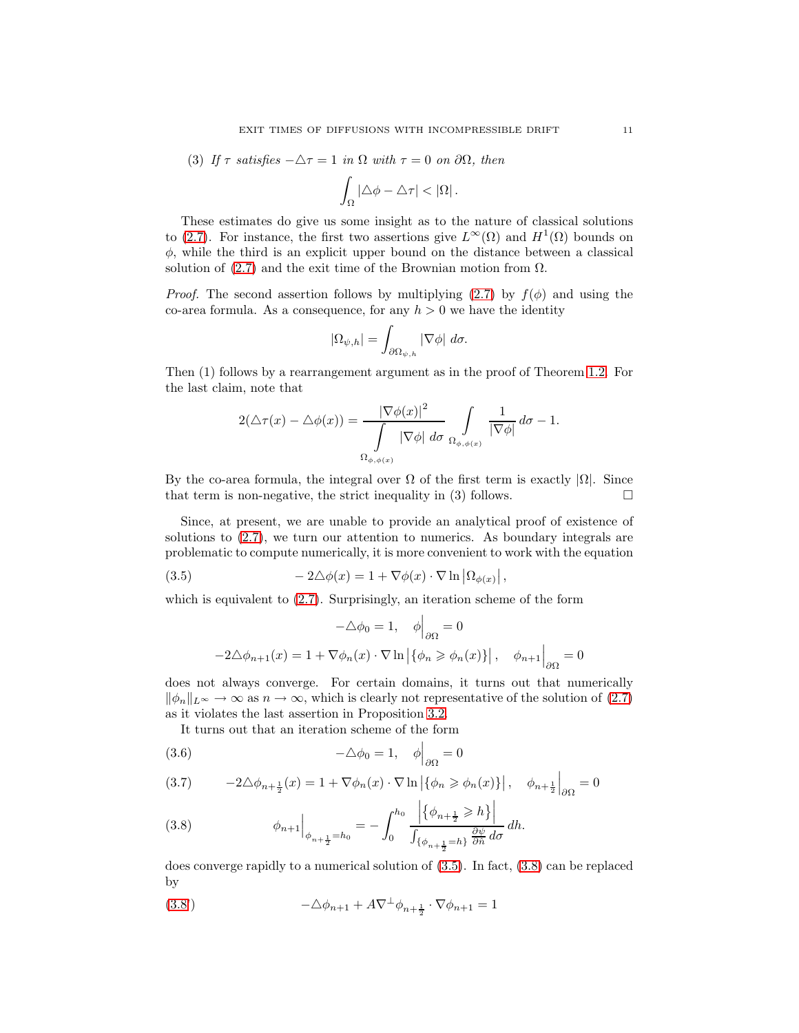(3) If 
$$
\tau
$$
 satisfies  $-\Delta \tau = 1$  in  $\Omega$  with  $\tau = 0$  on  $\partial \Omega$ , then

$$
\int_{\Omega} |\Delta \phi - \Delta \tau| < |\Omega|.
$$

These estimates do give us some insight as to the nature of classical solutions to [\(2.7\)](#page-3-1). For instance, the first two assertions give  $L^{\infty}(\Omega)$  and  $H^{1}(\Omega)$  bounds on  $\phi$ , while the third is an explicit upper bound on the distance between a classical solution of  $(2.7)$  and the exit time of the Brownian motion from  $\Omega$ .

*Proof.* The second assertion follows by multiplying [\(2.7\)](#page-3-1) by  $f(\phi)$  and using the co-area formula. As a consequence, for any  $h > 0$  we have the identity

$$
|\Omega_{\psi,h}| = \int_{\partial \Omega_{\psi,h}} |\nabla \phi| \, d\sigma.
$$

Then (1) follows by a rearrangement argument as in the proof of Theorem [1.2.](#page-1-1) For the last claim, note that

$$
2(\triangle \tau(x) - \triangle \phi(x)) = \frac{|\nabla \phi(x)|^2}{\int_{\Omega_{\phi, \phi(x)}} |\nabla \phi| d\sigma} \int_{\Omega_{\phi, \phi(x)}} \frac{1}{|\nabla \phi|} d\sigma - 1.
$$

By the co-area formula, the integral over  $\Omega$  of the first term is exactly  $|\Omega|$ . Since that term is non-negative, the strict inequality in (3) follows. that term is non-negative, the strict inequality in (3) follows.

Since, at present, we are unable to provide an analytical proof of existence of solutions to [\(2.7\)](#page-3-1), we turn our attention to numerics. As boundary integrals are problematic to compute numerically, it is more convenient to work with the equation

(3.5) 
$$
-2\Delta\phi(x) = 1 + \nabla\phi(x) \cdot \nabla \ln |\Omega_{\phi(x)}|,
$$

which is equivalent to [\(2.7\)](#page-3-1). Surprisingly, an iteration scheme of the form

<span id="page-10-0"></span>
$$
-\Delta \phi_0 = 1, \quad \phi \Big|_{\partial \Omega} = 0
$$

$$
-2\Delta \phi_{n+1}(x) = 1 + \nabla \phi_n(x) \cdot \nabla \ln \left| \{ \phi_n \ge \phi_n(x) \} \right|, \quad \phi_{n+1} \Big|_{\partial \Omega} = 0
$$

does not always converge. For certain domains, it turns out that numerically  $\|\phi_n\|_{L^{\infty}} \to \infty$  as  $n \to \infty$ , which is clearly not representative of the solution of [\(2.7\)](#page-3-1) as it violates the last assertion in Proposition [3.2.](#page-9-1)

It turns out that an iteration scheme of the form

(3.6) 
$$
-\Delta \phi_0 = 1, \quad \phi\Big|_{\partial \Omega} = 0
$$

$$
(3.7) \qquad -2\triangle \phi_{n+\frac{1}{2}}(x) = 1 + \nabla \phi_n(x) \cdot \nabla \ln \left| \{ \phi_n \ge \phi_n(x) \} \right|, \quad \phi_{n+\frac{1}{2}} \Big|_{\partial \Omega} = 0
$$

<span id="page-10-1"></span>(3.8) 
$$
\phi_{n+1}\Big|_{\phi_{n+\frac{1}{2}}=h_0} = -\int_0^{h_0} \frac{\Big|\{\phi_{n+\frac{1}{2}} \ge h\}\Big|}{\int_{\{\phi_{n+\frac{1}{2}}=h\}} \frac{\partial \psi}{\partial \hat{n}} d\sigma} dh.
$$

does converge rapidly to a numerical solution of [\(3.5\)](#page-10-0). In fact, [\(3.8\)](#page-10-1) can be replaced by

<span id="page-10-2"></span>(3.8') 
$$
-\Delta \phi_{n+1} + A \nabla^{\perp} \phi_{n+\frac{1}{2}} \cdot \nabla \phi_{n+1} = 1
$$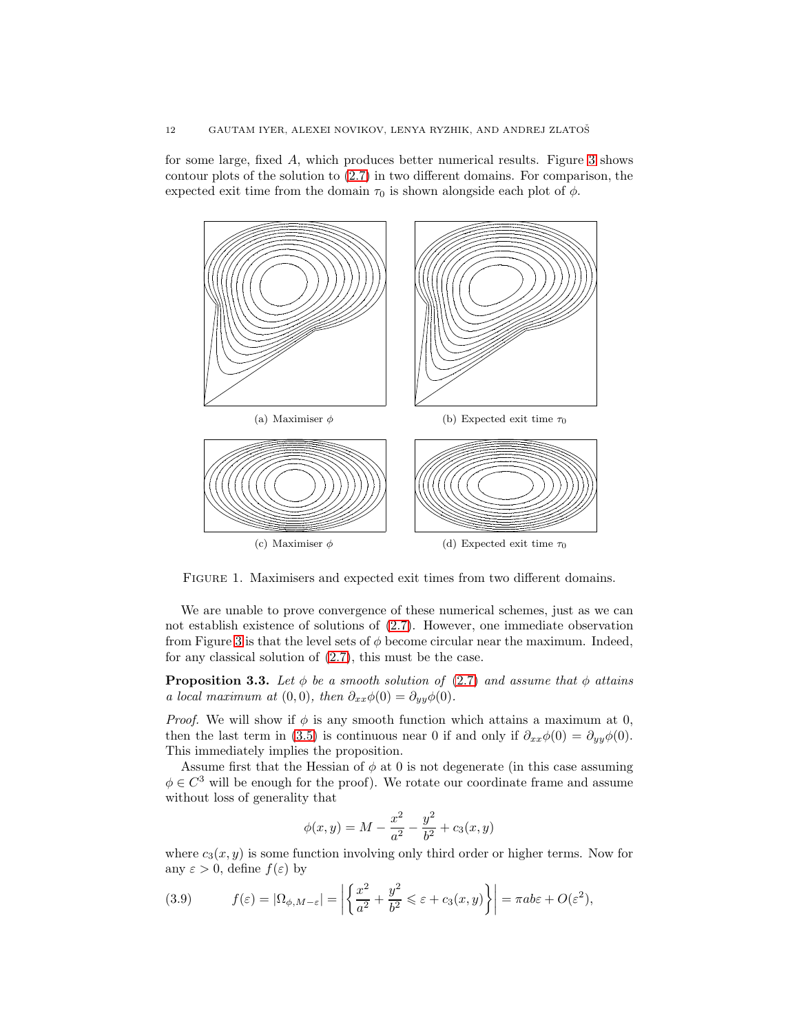for some large, fixed A, which produces better numerical results. Figure [3](#page-10-2) shows contour plots of the solution to [\(2.7\)](#page-3-1) in two different domains. For comparison, the expected exit time from the domain  $\tau_0$  is shown alongside each plot of  $\phi$ .



Figure 1. Maximisers and expected exit times from two different domains.

We are unable to prove convergence of these numerical schemes, just as we can not establish existence of solutions of [\(2.7\)](#page-3-1). However, one immediate observation from Figure [3](#page-10-2) is that the level sets of  $\phi$  become circular near the maximum. Indeed, for any classical solution of [\(2.7\)](#page-3-1), this must be the case.

**Proposition 3.3.** Let  $\phi$  be a smooth solution of [\(2.7\)](#page-3-1) and assume that  $\phi$  attains a local maximum at  $(0, 0)$ , then  $\partial_{xx}\phi(0) = \partial_{yy}\phi(0)$ .

*Proof.* We will show if  $\phi$  is any smooth function which attains a maximum at 0, then the last term in [\(3.5\)](#page-10-0) is continuous near 0 if and only if  $\partial_{xx}\phi(0) = \partial_{yy}\phi(0)$ . This immediately implies the proposition.

Assume first that the Hessian of  $\phi$  at 0 is not degenerate (in this case assuming  $\phi \in C^3$  will be enough for the proof). We rotate our coordinate frame and assume without loss of generality that

$$
\phi(x,y) = M - \frac{x^2}{a^2} - \frac{y^2}{b^2} + c_3(x,y)
$$

where  $c_3(x, y)$  is some function involving only third order or higher terms. Now for any  $\varepsilon > 0$ , define  $f(\varepsilon)$  by

<span id="page-11-0"></span>(3.9) 
$$
f(\varepsilon) = |\Omega_{\phi, M-\varepsilon}| = \left| \left\{ \frac{x^2}{a^2} + \frac{y^2}{b^2} \le \varepsilon + c_3(x, y) \right\} \right| = \pi ab \varepsilon + O(\varepsilon^2),
$$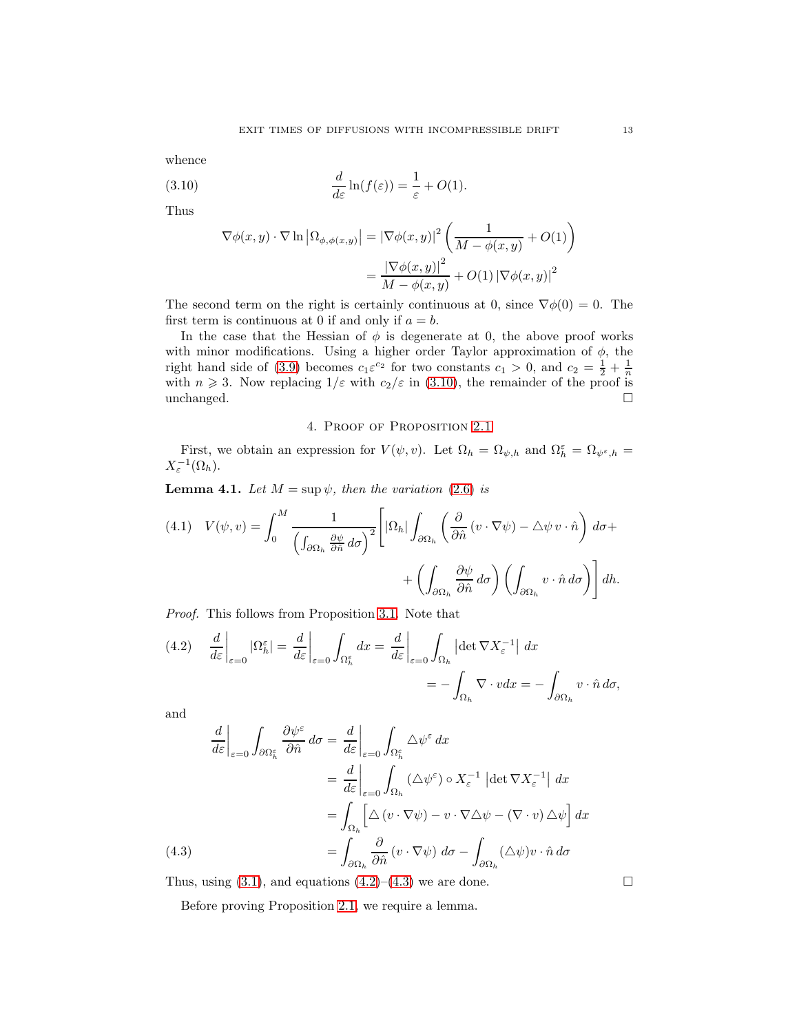whence

(3.10) 
$$
\frac{d}{d\varepsilon}\ln(f(\varepsilon)) = \frac{1}{\varepsilon} + O(1).
$$

Thus

<span id="page-12-1"></span>
$$
\nabla \phi(x, y) \cdot \nabla \ln |\Omega_{\phi, \phi(x, y)}| = |\nabla \phi(x, y)|^2 \left( \frac{1}{M - \phi(x, y)} + O(1) \right)
$$

$$
= \frac{|\nabla \phi(x, y)|^2}{M - \phi(x, y)} + O(1) |\nabla \phi(x, y)|^2
$$

The second term on the right is certainly continuous at 0, since  $\nabla \phi(0) = 0$ . The first term is continuous at 0 if and only if  $a = b$ .

In the case that the Hessian of  $\phi$  is degenerate at 0, the above proof works with minor modifications. Using a higher order Taylor approximation of  $\phi$ , the right hand side of [\(3.9\)](#page-11-0) becomes  $c_1 \varepsilon^{c_2}$  for two constants  $c_1 > 0$ , and  $c_2 = \frac{1}{2} + \frac{1}{n}$ with  $n \geq 3$ . Now replacing  $1/\varepsilon$  with  $c_2/\varepsilon$  in [\(3.10\)](#page-12-1), the remainder of the proof is unchanged.  $\square$ 

### 4. Proof of Proposition [2.1](#page-3-0)

<span id="page-12-0"></span>First, we obtain an expression for  $V(\psi, v)$ . Let  $\Omega_h = \Omega_{\psi,h}$  and  $\Omega_h^{\varepsilon} = \Omega_{\psi^{\varepsilon},h}$  $X_{\varepsilon}^{-1}(\Omega_h).$ 

**Lemma 4.1.** Let  $M = \sup \psi$ , then the variation [\(2.6\)](#page-3-2) is

<span id="page-12-4"></span>(4.1) 
$$
V(\psi, v) = \int_0^M \frac{1}{\left(\int_{\partial \Omega_h} \frac{\partial \psi}{\partial \hat{n}} d\sigma\right)^2} \left[ |\Omega_h| \int_{\partial \Omega_h} \left(\frac{\partial}{\partial \hat{n}} (v \cdot \nabla \psi) - \Delta \psi v \cdot \hat{n}\right) d\sigma + \left(\int_{\partial \Omega_h} \frac{\partial \psi}{\partial \hat{n}} d\sigma\right) \left(\int_{\partial \Omega_h} v \cdot \hat{n} d\sigma\right) \right] dh.
$$

Proof. This follows from Proposition [3.1.](#page-8-1) Note that

<span id="page-12-2"></span>(4.2) 
$$
\frac{d}{d\varepsilon}\Big|_{\varepsilon=0} |\Omega_h^{\varepsilon}| = \frac{d}{d\varepsilon}\Big|_{\varepsilon=0} \int_{\Omega_h^{\varepsilon}} dx = \frac{d}{d\varepsilon}\Big|_{\varepsilon=0} \int_{\Omega_h} |\det \nabla X_{\varepsilon}^{-1}| dx
$$

$$
= -\int_{\Omega_h} \nabla \cdot v dx = -\int_{\partial \Omega_h} v \cdot \hat{n} d\sigma,
$$

and

$$
\frac{d}{d\varepsilon}\Big|_{\varepsilon=0} \int_{\partial\Omega_h^{\varepsilon}} \frac{\partial \psi^{\varepsilon}}{\partial \hat{n}} d\sigma = \frac{d}{d\varepsilon}\Big|_{\varepsilon=0} \int_{\Omega_h^{\varepsilon}} \Delta \psi^{\varepsilon} dx
$$

$$
= \frac{d}{d\varepsilon}\Big|_{\varepsilon=0} \int_{\Omega_h} (\Delta \psi^{\varepsilon}) \circ X_{\varepsilon}^{-1} |\det \nabla X_{\varepsilon}^{-1}| dx
$$

$$
= \int_{\Omega_h} \left[ \Delta \left( v \cdot \nabla \psi \right) - v \cdot \nabla \Delta \psi - (\nabla \cdot v) \Delta \psi \right] dx
$$

$$
= \int_{\partial\Omega_h} \frac{\partial}{\partial \hat{n}} \left( v \cdot \nabla \psi \right) d\sigma - \int_{\partial\Omega_h} (\Delta \psi) v \cdot \hat{n} d\sigma
$$

<span id="page-12-3"></span>Thus, using [\(3.1\)](#page-8-1), and equations [\(4.2\)](#page-12-2)–[\(4.3\)](#page-12-3) we are done.  $\Box$ 

Before proving Proposition [2.1,](#page-3-0) we require a lemma.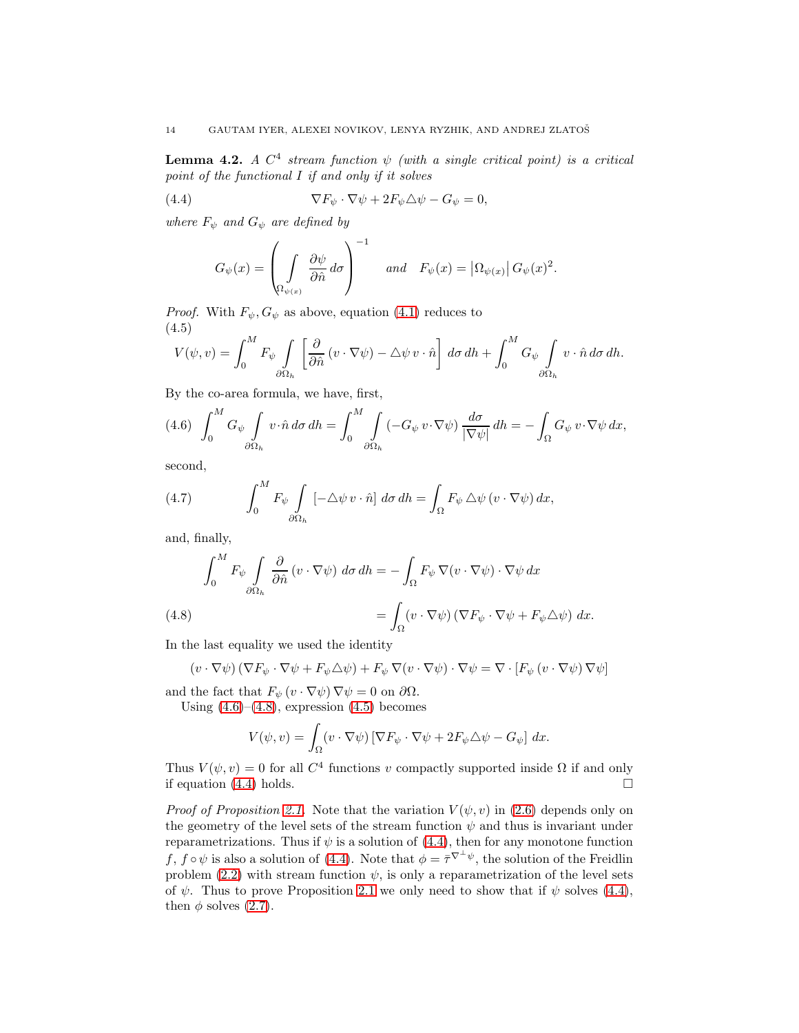**Lemma 4.2.** A  $C^4$  stream function  $\psi$  (with a single critical point) is a critical point of the functional I if and only if it solves

(4.4) 
$$
\nabla F_{\psi} \cdot \nabla \psi + 2F_{\psi} \triangle \psi - G_{\psi} = 0,
$$

where  $F_{\psi}$  and  $G_{\psi}$  are defined by

<span id="page-13-0"></span>
$$
G_{\psi}(x) = \left(\int\limits_{\Omega_{\psi(x)}} \frac{\partial \psi}{\partial \hat{n}} d\sigma\right)^{-1} \quad \text{and} \quad F_{\psi}(x) = \left|\Omega_{\psi(x)}\right| G_{\psi}(x)^{2}.
$$

*Proof.* With  $F_{\psi}, G_{\psi}$  as above, equation [\(4.1\)](#page-12-4) reduces to (4.5)

<span id="page-13-3"></span>
$$
V(\psi, v) = \int_0^M F_{\psi} \int_{\partial \Omega_h} \left[ \frac{\partial}{\partial \hat{n}} (v \cdot \nabla \psi) - \Delta \psi v \cdot \hat{n} \right] d\sigma dh + \int_0^M G_{\psi} \int_{\partial \Omega_h} v \cdot \hat{n} d\sigma dh.
$$

By the co-area formula, we have, first,

<span id="page-13-1"></span>
$$
(4.6)\quad \int_0^M G_\psi \int\limits_{\partial \Omega_h} v \cdot \hat{n} \, d\sigma \, dh = \int_0^M \int\limits_{\partial \Omega_h} \left( -G_\psi \, v \cdot \nabla \psi \right) \frac{d\sigma}{|\nabla \psi|} \, dh = -\int_\Omega G_\psi \, v \cdot \nabla \psi \, dx,
$$

second,

(4.7) 
$$
\int_0^M F_{\psi} \int_{\partial \Omega_h} \left[ -\Delta \psi \, v \cdot \hat{n} \right] d\sigma \, dh = \int_{\Omega} F_{\psi} \, \Delta \psi \left( v \cdot \nabla \psi \right) dx,
$$

and, finally,

(4.8)  
\n
$$
\int_0^M F_{\psi} \int_{\partial \Omega_h} \frac{\partial}{\partial \hat{n}} (v \cdot \nabla \psi) d\sigma dh = - \int_{\Omega} F_{\psi} \nabla (v \cdot \nabla \psi) \cdot \nabla \psi dx
$$
\n
$$
= \int_{\Omega} (v \cdot \nabla \psi) (\nabla F_{\psi} \cdot \nabla \psi + F_{\psi} \triangle \psi) dx.
$$

<span id="page-13-2"></span>In the last equality we used the identity

$$
(v \cdot \nabla \psi) (\nabla F_{\psi} \cdot \nabla \psi + F_{\psi} \Delta \psi) + F_{\psi} \nabla (v \cdot \nabla \psi) \cdot \nabla \psi = \nabla \cdot [F_{\psi} (v \cdot \nabla \psi) \nabla \psi]
$$

and the fact that  $F_{\psi}(v \cdot \nabla \psi) \nabla \psi = 0$  on  $\partial \Omega$ .

Using  $(4.6)$ – $(4.8)$ , expression  $(4.5)$  becomes

$$
V(\psi, v) = \int_{\Omega} (v \cdot \nabla \psi) \left[ \nabla F_{\psi} \cdot \nabla \psi + 2F_{\psi} \triangle \psi - G_{\psi} \right] dx.
$$

Thus  $V(\psi, v) = 0$  for all  $C<sup>4</sup>$  functions v compactly supported inside  $\Omega$  if and only if equation  $(4.4)$  holds.

*Proof of Proposition [2.1.](#page-3-0)* Note that the variation  $V(\psi, v)$  in [\(2.6\)](#page-3-2) depends only on the geometry of the level sets of the stream function  $\psi$  and thus is invariant under reparametrizations. Thus if  $\psi$  is a solution of [\(4.4\)](#page-13-0), then for any monotone function f,  $f \circ \psi$  is also a solution of [\(4.4\)](#page-13-0). Note that  $\phi = \overline{\tau}^{\nabla^{\perp} \psi}$ , the solution of the Freidlin problem [\(2.2\)](#page-2-2) with stream function  $\psi$ , is only a reparametrization of the level sets of  $\psi$ . Thus to prove Proposition [2.1](#page-3-0) we only need to show that if  $\psi$  solves [\(4.4\)](#page-13-0), then  $\phi$  solves [\(2.7\)](#page-3-1).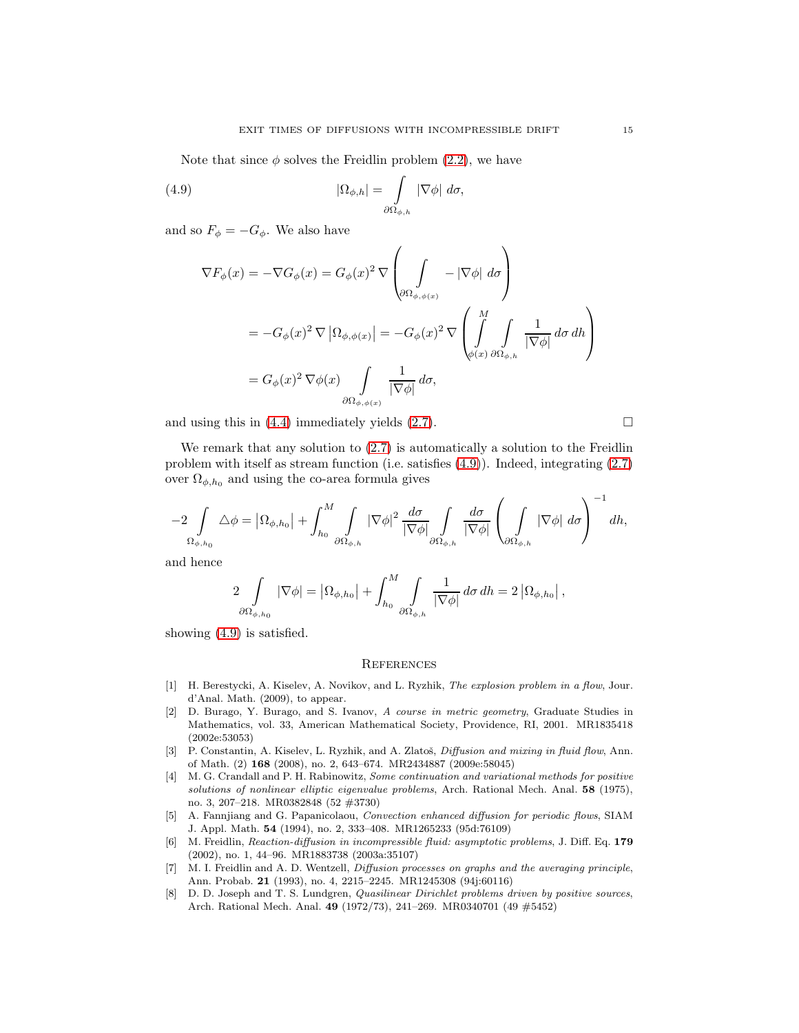Note that since  $\phi$  solves the Freidlin problem [\(2.2\)](#page-2-2), we have

(4.9) 
$$
|\Omega_{\phi,h}| = \int\limits_{\partial\Omega_{\phi,h}} |\nabla \phi| d\sigma,
$$

and so  $F_{\phi} = -G_{\phi}$ . We also have

<span id="page-14-8"></span>
$$
\nabla F_{\phi}(x) = -\nabla G_{\phi}(x) = G_{\phi}(x)^{2} \nabla \left(\int_{\partial \Omega_{\phi,\phi(x)}} - |\nabla \phi| d\sigma\right)
$$
  
=  $-G_{\phi}(x)^{2} \nabla |\Omega_{\phi,\phi(x)}| = -G_{\phi}(x)^{2} \nabla \left(\int_{\phi(x)}^{M} \int_{\partial \Omega_{\phi,h}} \frac{1}{|\nabla \phi|} d\sigma d\sigma\right)$   
=  $G_{\phi}(x)^{2} \nabla \phi(x) \int_{\partial \Omega_{\phi,\phi(x)}} \frac{1}{|\nabla \phi|} d\sigma,$ 

and using this in  $(4.4)$  immediately yields  $(2.7)$ .

We remark that any solution to  $(2.7)$  is automatically a solution to the Freidlin problem with itself as stream function (i.e. satisfies [\(4.9\)](#page-14-8)). Indeed, integrating [\(2.7\)](#page-3-1) over  $\Omega_{\phi,h_0}$  and using the co-area formula gives

$$
-2\int\limits_{\Omega_{\phi,h_0}} \Delta \phi = \left|\Omega_{\phi,h_0}\right| + \int_{h_0}^M \int\limits_{\partial \Omega_{\phi,h}} \left|\nabla \phi\right|^2 \frac{d\sigma}{\left|\nabla \phi\right|} \int\limits_{\partial \Omega_{\phi,h}} \frac{d\sigma}{\left|\nabla \phi\right|} \left(\int\limits_{\partial \Omega_{\phi,h}} \left|\nabla \phi\right| \, d\sigma\right)^{-1} dh,
$$

and hence

$$
2\int\limits_{\partial\Omega_{\phi,h_0}} |\nabla \phi| = \left|\Omega_{\phi,h_0}\right| + \int_{h_0}^M \int\limits_{\partial\Omega_{\phi,h}} \frac{1}{|\nabla \phi|} d\sigma \, dh = 2 \left|\Omega_{\phi,h_0}\right|,
$$

showing [\(4.9\)](#page-14-8) is satisfied.

#### **REFERENCES**

- <span id="page-14-4"></span>[1] H. Berestycki, A. Kiselev, A. Novikov, and L. Ryzhik, *The explosion problem in a flow*, Jour. d'Anal. Math. (2009), to appear.
- <span id="page-14-7"></span>[2] D. Burago, Y. Burago, and S. Ivanov, *A course in metric geometry*, Graduate Studies in Mathematics, vol. 33, American Mathematical Society, Providence, RI, 2001. MR1835418 (2002e:53053)
- <span id="page-14-1"></span>[3] P. Constantin, A. Kiselev, L. Ryzhik, and A. Zlatoš, *Diffusion and mixing in fluid flow*, Ann. of Math. (2) 168 (2008), no. 2, 643–674. MR2434887 (2009e:58045)
- <span id="page-14-2"></span>[4] M. G. Crandall and P. H. Rabinowitz, *Some continuation and variational methods for positive solutions of nonlinear elliptic eigenvalue problems*, Arch. Rational Mech. Anal. 58 (1975), no. 3, 207–218. MR0382848 (52 #3730)
- <span id="page-14-0"></span>[5] A. Fannjiang and G. Papanicolaou, *Convection enhanced diffusion for periodic flows*, SIAM J. Appl. Math. 54 (1994), no. 2, 333–408. MR1265233 (95d:76109)
- <span id="page-14-5"></span>[6] M. Freidlin, *Reaction-diffusion in incompressible fluid: asymptotic problems*, J. Diff. Eq. 179 (2002), no. 1, 44–96. MR1883738 (2003a:35107)
- <span id="page-14-6"></span>[7] M. I. Freidlin and A. D. Wentzell, *Diffusion processes on graphs and the averaging principle*, Ann. Probab. 21 (1993), no. 4, 2215–2245. MR1245308 (94j:60116)
- <span id="page-14-3"></span>[8] D. D. Joseph and T. S. Lundgren, *Quasilinear Dirichlet problems driven by positive sources*, Arch. Rational Mech. Anal. 49 (1972/73), 241–269. MR0340701 (49 #5452)